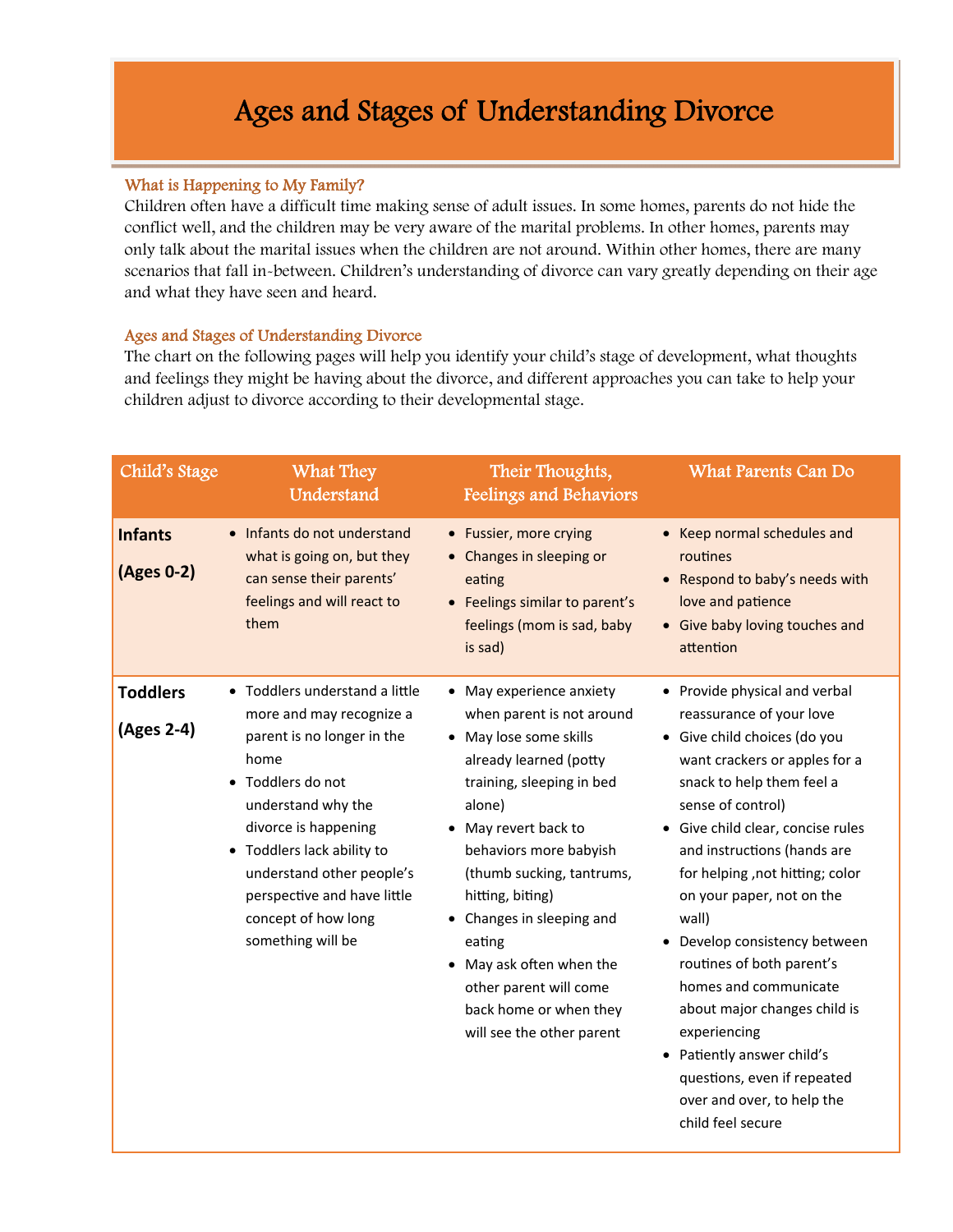## Ages and Stages of Understanding Divorce

## What is Happening to My Family?

Children often have a difficult time making sense of adult issues. In some homes, parents do not hide the conflict well, and the children may be very aware of the marital problems. In other homes, parents may only talk about the marital issues when the children are not around. Within other homes, there are many scenarios that fall in-between. Children's understanding of divorce can vary greatly depending on their age and what they have seen and heard.

## Ages and Stages of Understanding Divorce

The chart on the following pages will help you identify your child's stage of development, what thoughts and feelings they might be having about the divorce, and different approaches you can take to help your children adjust to divorce according to their developmental stage.

| Child's Stage                 | What They<br>Understand                                                                                                                                                                                                                                                                                   | Their Thoughts,<br><b>Feelings and Behaviors</b>                                                                                                                                                                                                                                                                                                                                                        | <b>What Parents Can Do</b>                                                                                                                                                                                                                                                                                                                                                                                                                                                                                                                                                       |
|-------------------------------|-----------------------------------------------------------------------------------------------------------------------------------------------------------------------------------------------------------------------------------------------------------------------------------------------------------|---------------------------------------------------------------------------------------------------------------------------------------------------------------------------------------------------------------------------------------------------------------------------------------------------------------------------------------------------------------------------------------------------------|----------------------------------------------------------------------------------------------------------------------------------------------------------------------------------------------------------------------------------------------------------------------------------------------------------------------------------------------------------------------------------------------------------------------------------------------------------------------------------------------------------------------------------------------------------------------------------|
| <b>Infants</b><br>(Ages 0-2)  | • Infants do not understand<br>what is going on, but they<br>can sense their parents'<br>feelings and will react to<br>them                                                                                                                                                                               | • Fussier, more crying<br>• Changes in sleeping or<br>eating<br>• Feelings similar to parent's<br>feelings (mom is sad, baby<br>is sad)                                                                                                                                                                                                                                                                 | • Keep normal schedules and<br>routines<br>• Respond to baby's needs with<br>love and patience<br>• Give baby loving touches and<br>attention                                                                                                                                                                                                                                                                                                                                                                                                                                    |
| <b>Toddlers</b><br>(Ages 2-4) | • Toddlers understand a little<br>more and may recognize a<br>parent is no longer in the<br>home<br>• Toddlers do not<br>understand why the<br>divorce is happening<br>• Toddlers lack ability to<br>understand other people's<br>perspective and have little<br>concept of how long<br>something will be | • May experience anxiety<br>when parent is not around<br>• May lose some skills<br>already learned (potty<br>training, sleeping in bed<br>alone)<br>• May revert back to<br>behaviors more babyish<br>(thumb sucking, tantrums,<br>hitting, biting)<br>• Changes in sleeping and<br>eating<br>• May ask often when the<br>other parent will come<br>back home or when they<br>will see the other parent | • Provide physical and verbal<br>reassurance of your love<br>· Give child choices (do you<br>want crackers or apples for a<br>snack to help them feel a<br>sense of control)<br>• Give child clear, concise rules<br>and instructions (hands are<br>for helping, not hitting; color<br>on your paper, not on the<br>wall)<br>• Develop consistency between<br>routines of both parent's<br>homes and communicate<br>about major changes child is<br>experiencing<br>• Patiently answer child's<br>questions, even if repeated<br>over and over, to help the<br>child feel secure |